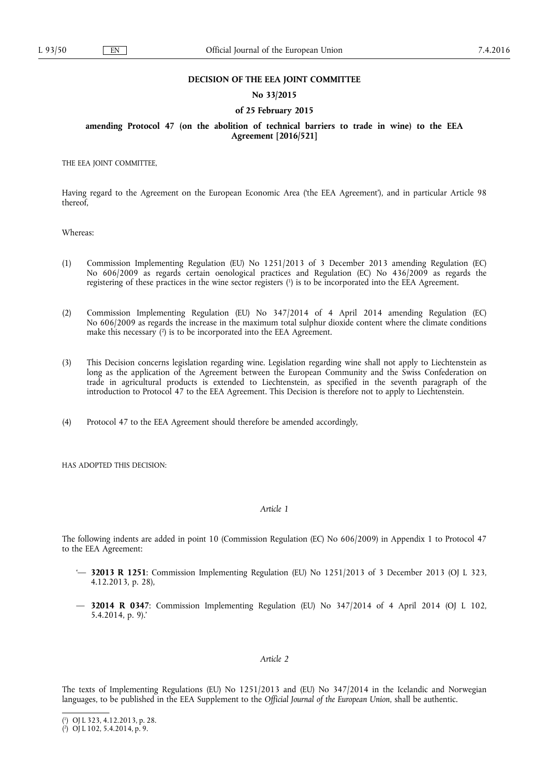## **DECISION OF THE EEA JOINT COMMITTEE**

#### **No 33/2015**

#### **of 25 February 2015**

## **amending Protocol 47 (on the abolition of technical barriers to trade in wine) to the EEA Agreement [2016/521]**

THE EEA JOINT COMMITTEE,

Having regard to the Agreement on the European Economic Area ('the EEA Agreement'), and in particular Article 98 thereof,

Whereas:

- (1) Commission Implementing Regulation (EU) No 1251/2013 of 3 December 2013 amending Regulation (EC) No 606/2009 as regards certain oenological practices and Regulation (EC) No 436/2009 as regards the registering of these practices in the wine sector registers ( 1 ) is to be incorporated into the EEA Agreement.
- (2) Commission Implementing Regulation (EU) No 347/2014 of 4 April 2014 amending Regulation (EC) No 606/2009 as regards the increase in the maximum total sulphur dioxide content where the climate conditions make this necessary ( 2 ) is to be incorporated into the EEA Agreement.
- (3) This Decision concerns legislation regarding wine. Legislation regarding wine shall not apply to Liechtenstein as long as the application of the Agreement between the European Community and the Swiss Confederation on trade in agricultural products is extended to Liechtenstein, as specified in the seventh paragraph of the introduction to Protocol 47 to the EEA Agreement. This Decision is therefore not to apply to Liechtenstein.
- (4) Protocol 47 to the EEA Agreement should therefore be amended accordingly,

HAS ADOPTED THIS DECISION:

## *Article 1*

The following indents are added in point 10 (Commission Regulation (EC) No 606/2009) in Appendix 1 to Protocol 47 to the EEA Agreement:

- '— **32013 R 1251**: Commission Implementing Regulation (EU) No 1251/2013 of 3 December 2013 (OJ L 323, 4.12.2013, p. 28),
- **32014 R 0347**: Commission Implementing Regulation (EU) No 347/2014 of 4 April 2014 (OJ L 102, 5.4.2014, p. 9).'

#### *Article 2*

The texts of Implementing Regulations (EU) No 1251/2013 and (EU) No 347/2014 in the Icelandic and Norwegian languages, to be published in the EEA Supplement to the *Official Journal of the European Union*, shall be authentic.

<sup>(</sup> 1 ) OJ L 323, 4.12.2013, p. 28.

<sup>(</sup> 2 ) OJ L 102, 5.4.2014, p. 9.